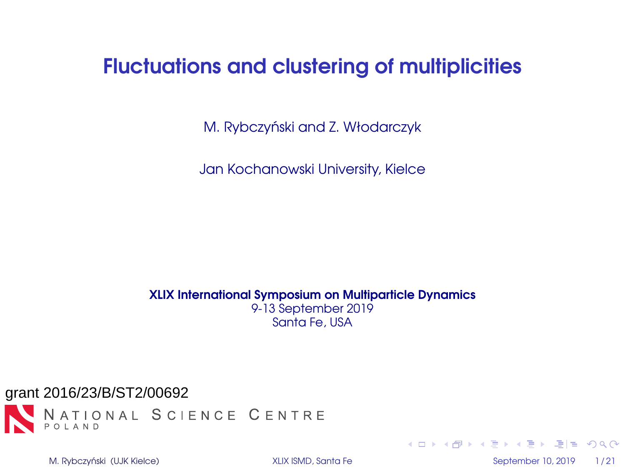# <span id="page-0-0"></span>Fluctuations and clustering of multiplicities

M. Rybczyński and Z. Włodarczyk

Jan Kochanowski University, Kielce

XLIX International Symposium on Multiparticle Dynamics 9-13 September 2019 Santa Fe, USA



M. Rybczyński (UJK Kielce) **i September 10, 2019** 1/21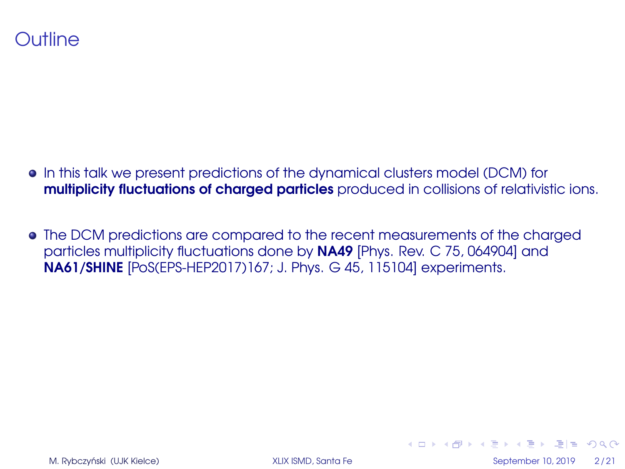## Outline

- In this talk we present predictions of the dynamical clusters model (DCM) for multiplicity fluctuations of charged particles produced in collisions of relativistic ions.
- The DCM predictions are compared to the recent measurements of the charged particles multiplicity fluctuations done by NA49 [Phys. Rev. C 75, 064904] and NA61/SHINE [PoS(EPS-HEP2017)167; J. Phys. G 45, 115104] experiments.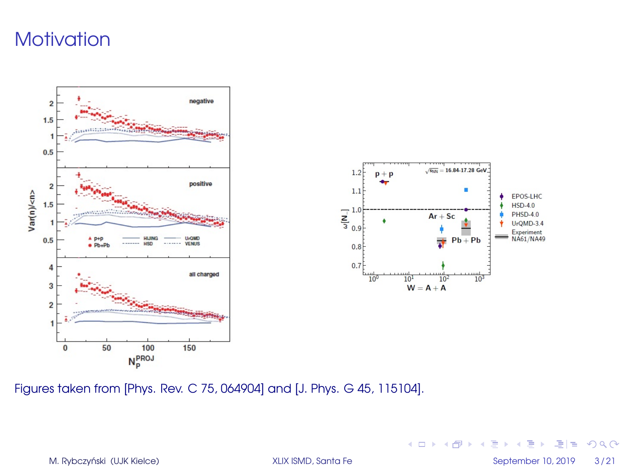# **Motivation**



Figures taken from [Phys. Rev. C 75, 064904] and [J. Phys. G 45, 115104].

M. Rybczyński (UJK Kielce) a miejsce w [XLIX ISMD, Santa Fe](#page-0-0) September 10, 2019 a 3/21

K ロ ▶ K 何 ▶ K 로 ▶ K 로 ▶ 그리고 K) Q (연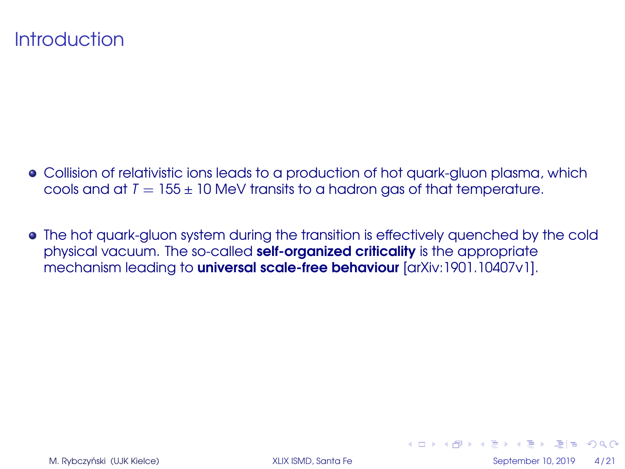## **Introduction**

- Collision of relativistic ions leads to a production of hot quark-gluon plasma, which cools and at  $T = 155 \pm 10$  MeV transits to a hadron gas of that temperature.
- The hot quark-gluon system during the transition is effectively quenched by the cold physical vacuum. The so-called self-organized criticality is the appropriate mechanism leading to universal scale-free behaviour [arXiv:1901.10407v1].

кшр к舟 ж к∃ ж к∃ х ∃|≝ ЮрО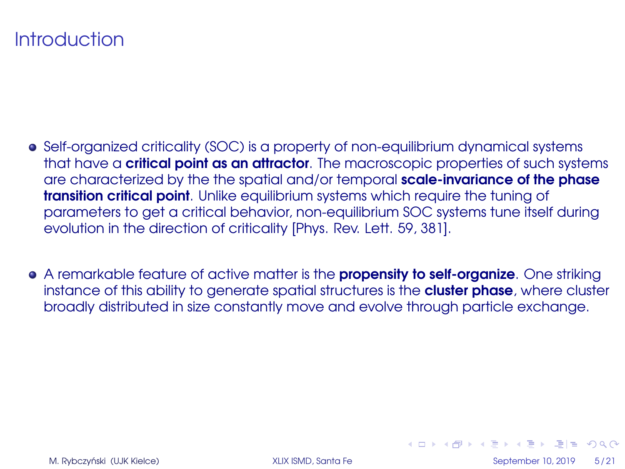# **Introduction**

- Self-organized criticality (SOC) is a property of non-equilibrium dynamical systems that have a **critical point as an attractor**. The macroscopic properties of such systems are characterized by the the spatial and/or temporal scale-invariance of the phase **transition critical point**. Unlike equilibrium systems which require the tuning of parameters to get a critical behavior, non-equilibrium SOC systems tune itself during evolution in the direction of criticality [Phys. Rev. Lett. 59, 381].
- A remarkable feature of active matter is the **propensity to self-organize**. One striking instance of this ability to generate spatial structures is the **cluster phase**, where cluster broadly distributed in size constantly move and evolve through particle exchange.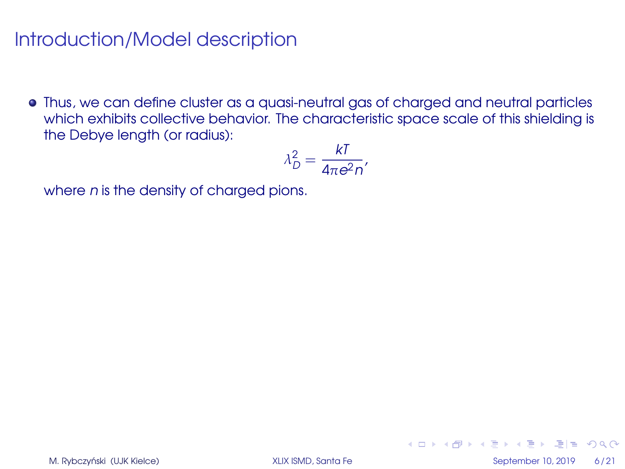Thus, we can define cluster as a quasi-neutral gas of charged and neutral particles which exhibits collective behavior. The characteristic space scale of this shielding is the Debye length (or radius):

$$
\lambda_D^2 = \frac{kI}{4\pi e^2 n'}
$$

where *n* is the density of charged pions.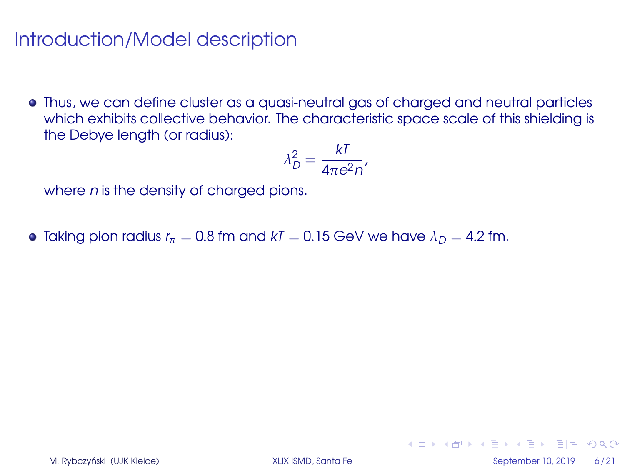Thus, we can define cluster as a quasi-neutral gas of charged and neutral particles which exhibits collective behavior. The characteristic space scale of this shielding is the Debye length (or radius):

$$
\lambda_D^2 = \frac{kI}{4\pi e^2 n'}
$$

where *n* is the density of charged pions.

• Taking pion radius  $r_{\pi} = 0.8$  fm and  $kT = 0.15$  GeV we have  $\lambda_D = 4.2$  fm.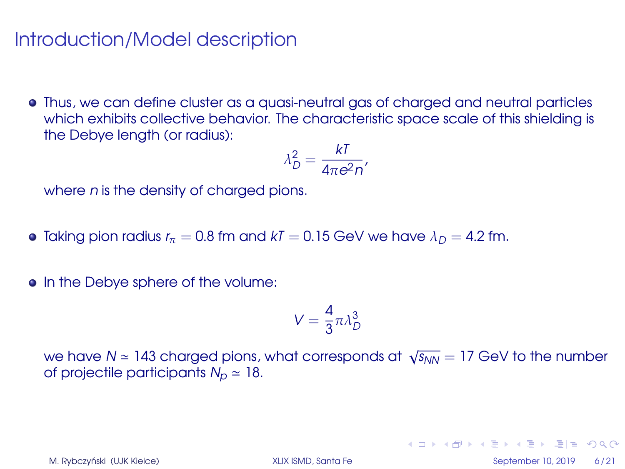Thus, we can define cluster as a quasi-neutral gas of charged and neutral particles which exhibits collective behavior. The characteristic space scale of this shielding is the Debye length (or radius):

$$
\lambda_D^2 = \frac{kI}{4\pi e^2 n'}
$$

where *n* is the density of charged pions.

- Taking pion radius  $r_{\pi} = 0.8$  fm and  $kT = 0.15$  GeV we have  $\lambda_D = 4.2$  fm.
- In the Debye sphere of the volume:

$$
V = \frac{4}{3}\pi\lambda_D^3
$$

we have  $N$   $\simeq$  143 charged pions, what corresponds at  $\sqrt{s_{NN}}=17$  GeV to the number of projectile participants  $N_p \approx 18$ .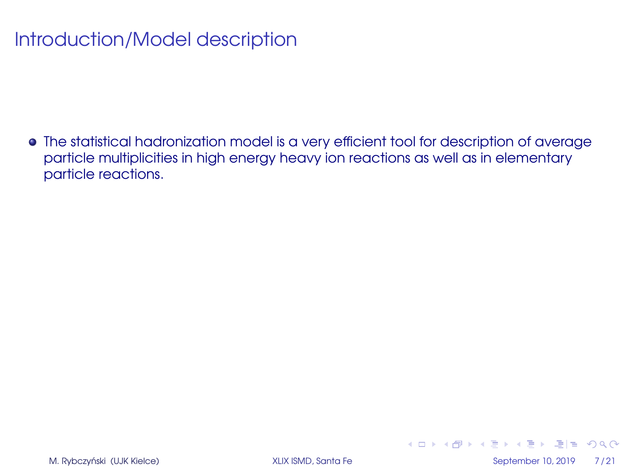The statistical hadronization model is a very efficient tool for description of average particle multiplicities in high energy heavy ion reactions as well as in elementary particle reactions.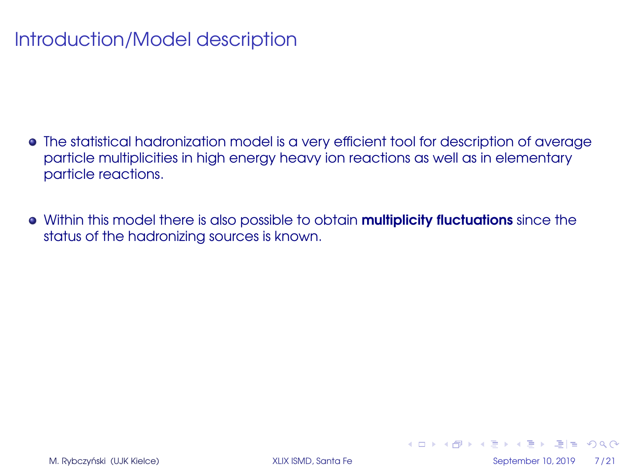- The statistical hadronization model is a very efficient tool for description of average particle multiplicities in high energy heavy ion reactions as well as in elementary particle reactions.
- Within this model there is also possible to obtain **multiplicity fluctuations** since the status of the hadronizing sources is known.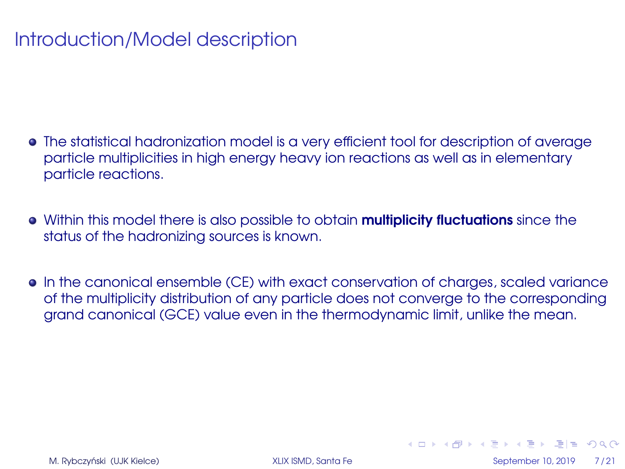- The statistical hadronization model is a very efficient tool for description of average particle multiplicities in high energy heavy ion reactions as well as in elementary particle reactions.
- Within this model there is also possible to obtain **multiplicity fluctuations** since the status of the hadronizing sources is known.
- In the canonical ensemble (CE) with exact conservation of charges, scaled variance of the multiplicity distribution of any particle does not converge to the corresponding grand canonical (GCE) value even in the thermodynamic limit, unlike the mean.

кшр к舟 ж к∃ ж к∃ х ∃|≝ ЮрО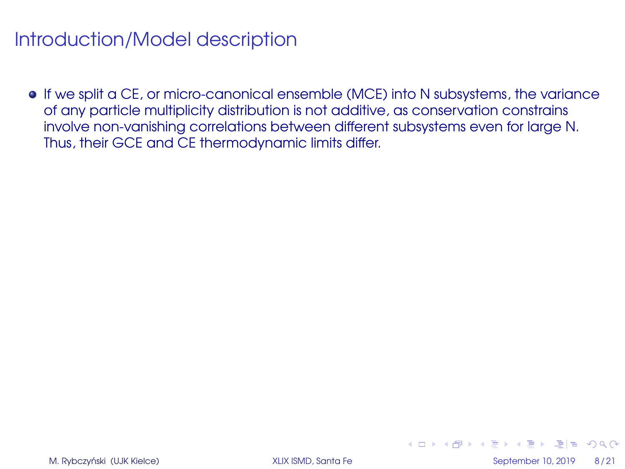If we split a CE, or micro-canonical ensemble (MCE) into N subsystems, the variance of any particle multiplicity distribution is not additive, as conservation constrains involve non-vanishing correlations between different subsystems even for large N. Thus, their GCE and CE thermodynamic limits differ.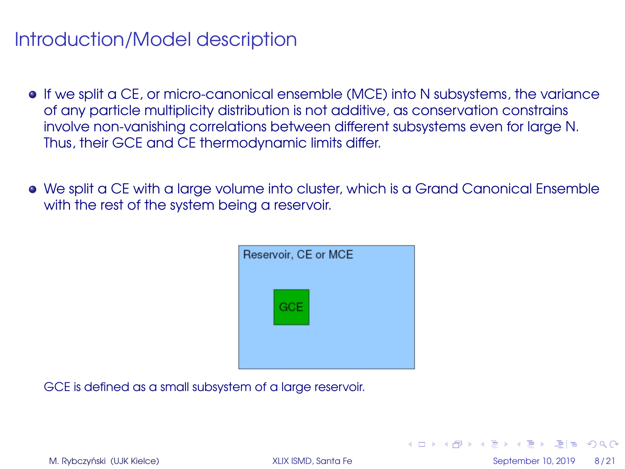- If we split a CE, or micro-canonical ensemble (MCE) into N subsystems, the variance of any particle multiplicity distribution is not additive, as conservation constrains involve non-vanishing correlations between different subsystems even for large N. Thus, their GCE and CE thermodynamic limits differ.
- We split a CE with a large volume into cluster, which is a Grand Canonical Ensemble with the rest of the system being a reservoir.



GCE is defined as a small subsystem of a large reservoir.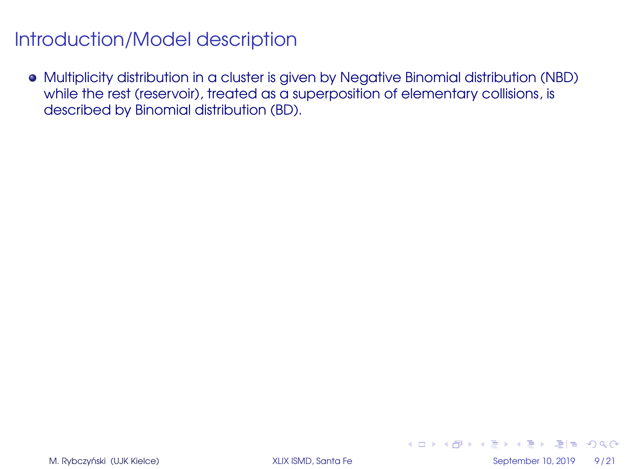Multiplicity distribution in a cluster is given by Negative Binomial distribution (NBD) while the rest (reservoir), treated as a superposition of elementary collisions, is described by Binomial distribution (BD).

M. Rybczyński (UJK Kielce) **od September 10, 2019** 9/21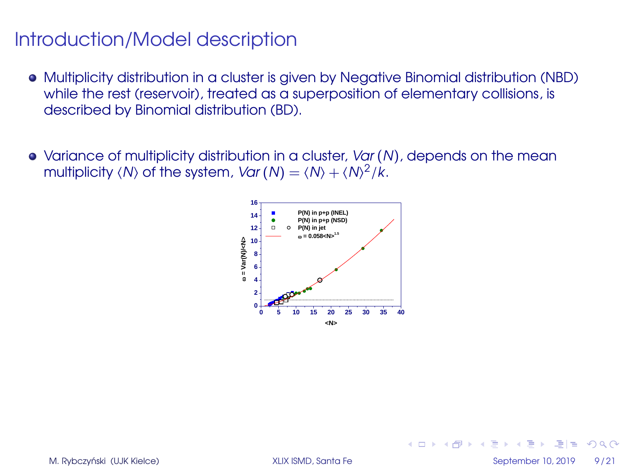- Multiplicity distribution in a cluster is given by Negative Binomial distribution (NBD) while the rest (reservoir), treated as a superposition of elementary collisions, is described by Binomial distribution (BD).
- Variance of multiplicity distribution in a cluster, Var (N), depends on the mean multiplicity  $\langle N \rangle$  of the system,  $Var(N) = \langle N \rangle + \langle N \rangle^2 /k$ .

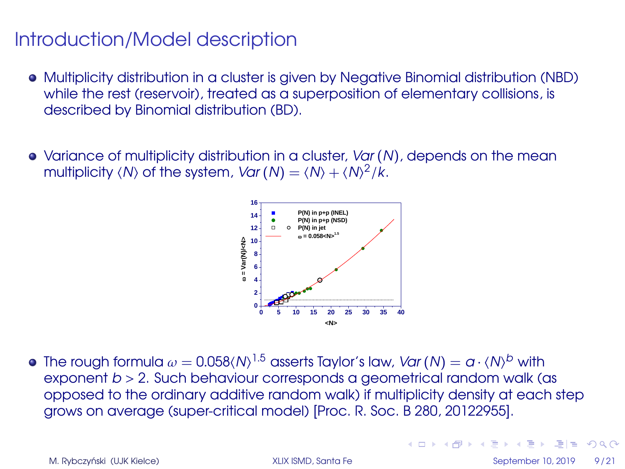- Multiplicity distribution in a cluster is given by Negative Binomial distribution (NBD) while the rest (reservoir), treated as a superposition of elementary collisions, is described by Binomial distribution (BD).
- Variance of multiplicity distribution in a cluster, Var (N), depends on the mean multiplicity  $\langle N \rangle$  of the system,  $Var(N) = \langle N \rangle + \langle N \rangle^2 /k$ .



The rough formula  $\omega=$  0.058(N)  $^{1.5}$  asserts Taylor's law, *Var* (N)  $=\alpha\cdot$  (N)<sup>b</sup> with exponent  $b > 2$ . Such behaviour corresponds a geometrical random walk (as opposed to the ordinary additive random walk) if multiplicity density at each step grows on average (super-critical model) [Proc. R. Soc. B 280, 20122955].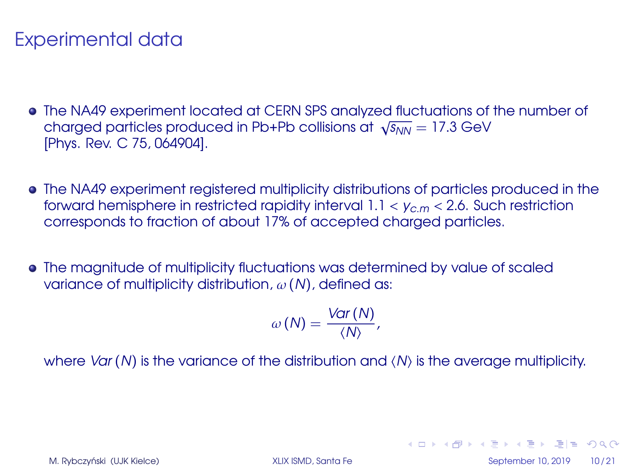# Experimental data

- The NA49 experiment located at CERN SPS analyzed fluctuations of the number of The NA49 experiment located at CERN SPS analyzed fluctuations of  $\sqrt{s_{NN}} = 17.3$  GeV [Phys. Rev. C 75, 064904].
- The NA49 experiment registered multiplicity distributions of particles produced in the forward hemisphere in restricted rapidity interval  $1.1 < v_{cm} < 2.6$ . Such restriction corresponds to fraction of about 17% of accepted charged particles.
- The magnitude of multiplicity fluctuations was determined by value of scaled variance of multiplicity distribution,  $\omega$  (N), defined as:

$$
\omega\left(N\right)=\frac{\text{Var}\left(N\right)}{\left\langle N\right\rangle},\,
$$

where Var (N) is the variance of the distribution and  $\langle N \rangle$  is the average multiplicity.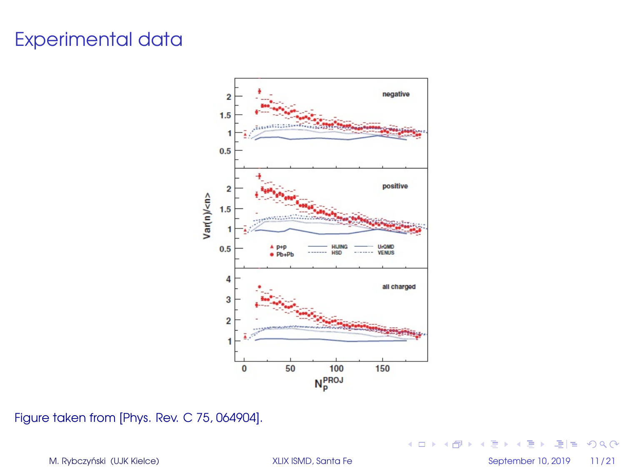# Experimental data



Figure taken from [Phys. Rev. C 75, 064904].

M. Rybczyński (UJK Kielce) **imierany stratego w September 10, 2019** 11/21

K ロ ▶ K 御 ▶ K 君 ▶ K 君 ▶ (君) # 19 9 0 0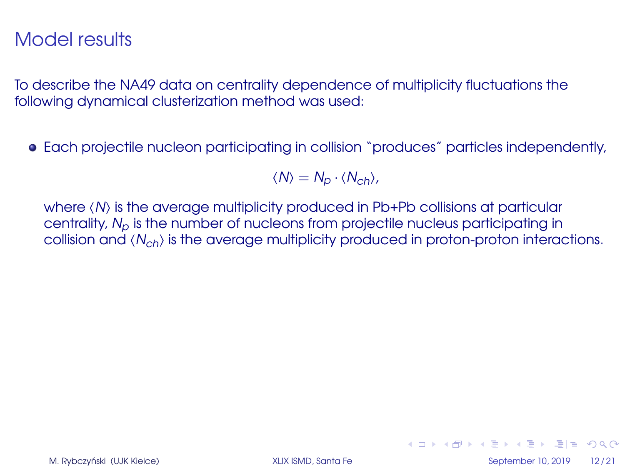To describe the NA49 data on centrality dependence of multiplicity fluctuations the following dynamical clusterization method was used:

Each projectile nucleon participating in collision "produces" particles independently,

 $\langle N \rangle = N_p \cdot \langle N_{ch} \rangle$ ,

where  $\langle N \rangle$  is the average multiplicity produced in Pb+Pb collisions at particular centrality,  $N_p$  is the number of nucleons from projectile nucleus participating in collision and  $\langle N_{ch} \rangle$  is the average multiplicity produced in proton-proton interactions.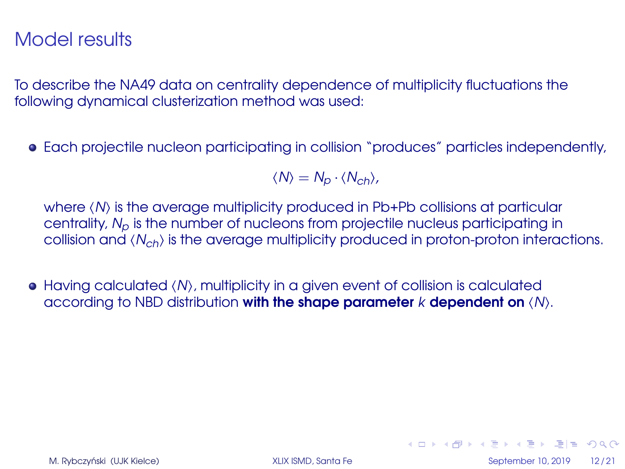To describe the NA49 data on centrality dependence of multiplicity fluctuations the following dynamical clusterization method was used:

Each projectile nucleon participating in collision "produces" particles independently,

 $\langle N \rangle = N_p \cdot \langle N_{ch} \rangle$ ,

where  $\langle N \rangle$  is the average multiplicity produced in Pb+Pb collisions at particular centrality,  $N_p$  is the number of nucleons from projectile nucleus participating in collision and  $\langle N_{ch} \rangle$  is the average multiplicity produced in proton-proton interactions.

 $\bullet$  Having calculated  $\langle N \rangle$ , multiplicity in a given event of collision is calculated according to NBD distribution with the shape parameter  $k$  dependent on  $\langle N \rangle$ .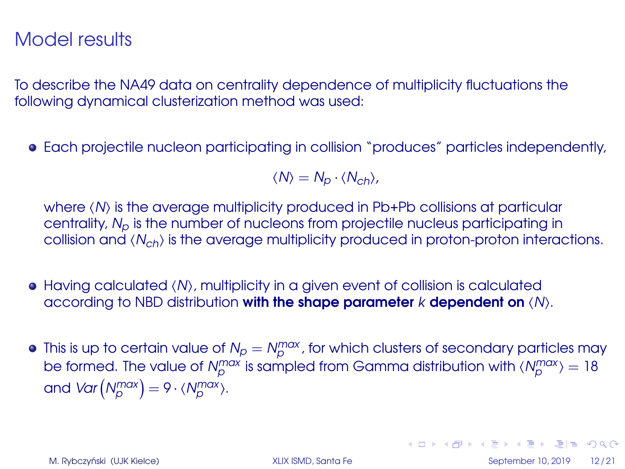To describe the NA49 data on centrality dependence of multiplicity fluctuations the following dynamical clusterization method was used:

Each projectile nucleon participating in collision "produces" particles independently,

 $\langle N \rangle = N_p \cdot \langle N_{ch} \rangle$ ,

where  $\langle N \rangle$  is the average multiplicity produced in Pb+Pb collisions at particular centrality,  $N_p$  is the number of nucleons from projectile nucleus participating in collision and  $\langle N_{ch} \rangle$  is the average multiplicity produced in proton-proton interactions.

- $\bullet$  Having calculated  $\langle N \rangle$ , multiplicity in a given event of collision is calculated according to NBD distribution with the shape parameter  $k$  dependent on  $\langle N \rangle$ .
- This is up to certain value of N<sup>p</sup> = Nmax p , for which clusters of secondary particles may be formed. The value of  $N_{\rho}^{\text{max}}$  is sampled from Gamma distribution with  $\langle N_{\rho}^{\text{max}} \rangle$  = 18 and  $Var(N_p^{max}) = 9 \cdot \langle N_p^{max} \rangle$ .

M. Rybczyński (UJK Kielce) **od September 10, 2019** 12/21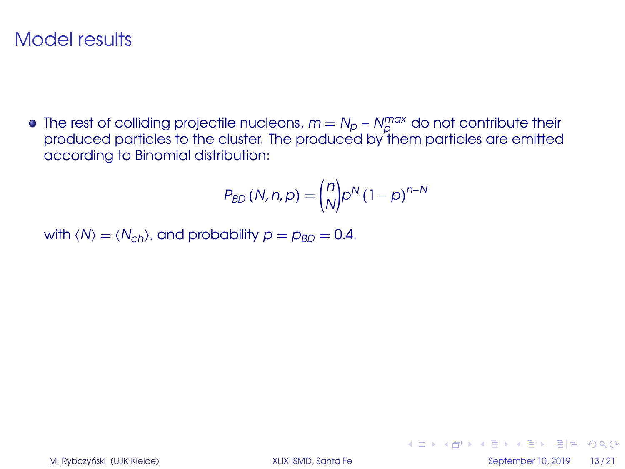The rest of colliding projectile nucleons,  $m = N_p - N_p^{max}$  do not contribute their produced particles to the cluster. The produced by them particles are emitted according to Binomial distribution:

$$
P_{BD} (N, n, p) = {n \choose N} p^N (1-p)^{n-N}
$$

with  $\langle N \rangle = \langle N_{ch} \rangle$ , and probability  $p = p_{BD} = 0.4$ .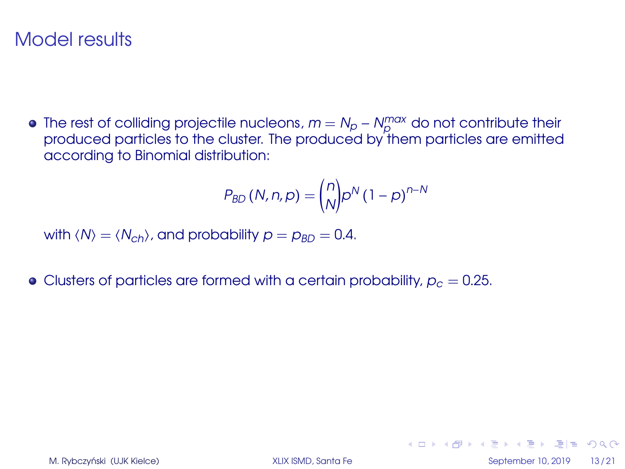The rest of colliding projectile nucleons,  $m = N_p - N_p^{max}$  do not contribute their produced particles to the cluster. The produced by them particles are emitted according to Binomial distribution:

$$
P_{BD} (N, n, p) = {n \choose N} p^N (1-p)^{n-N}
$$

with  $\langle N \rangle = \langle N_{ch} \rangle$ , and probability  $p = p_{BD} = 0.4$ .

• Clusters of particles are formed with a certain probability,  $p_c = 0.25$ .

K ロ ▶ K 何 ▶ K ヨ ▶ K ヨ ▶ ヨ ヨ ★ の Q (V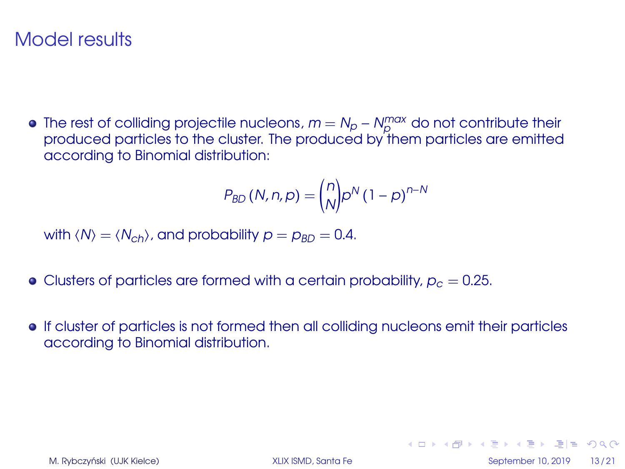The rest of colliding projectile nucleons,  $m = N_p - N_p^{max}$  do not contribute their produced particles to the cluster. The produced by them particles are emitted according to Binomial distribution:

$$
P_{BD} (N, n, p) = {n \choose N} p^N (1-p)^{n-N}
$$

with  $\langle N \rangle = \langle N_{ch} \rangle$ , and probability  $p = p_{BD} = 0.4$ .

- Clusters of particles are formed with a certain probability,  $p_c = 0.25$ .
- If cluster of particles is not formed then all colliding nucleons emit their particles according to Binomial distribution.

K ロ ▶ K 何 ▶ K ヨ ▶ K ヨ ▶ ヨ ヨ ★ の Q (V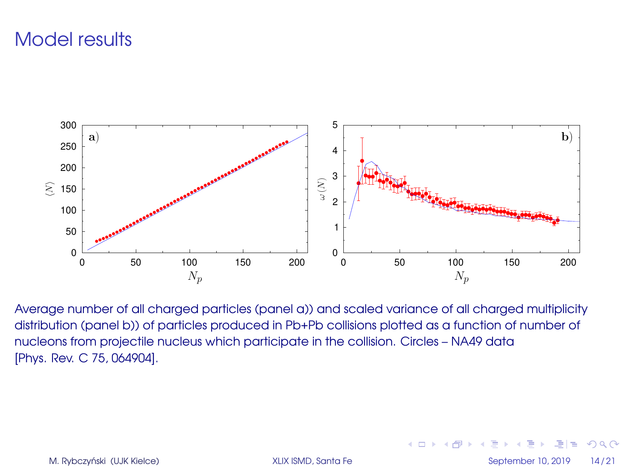

Average number of all charged particles (panel a)) and scaled variance of all charged multiplicity distribution (panel b)) of particles produced in Pb+Pb collisions plotted as a function of number of nucleons from projectile nucleus which participate in the collision. Circles – NA49 data [Phys. Rev. C 75, 064904].

M. Rybczyński (UJK Kielce) **od September 10, 2019** 14/21

 $=$  $\Omega$ 

÷.

4 ロ ▶ 4 何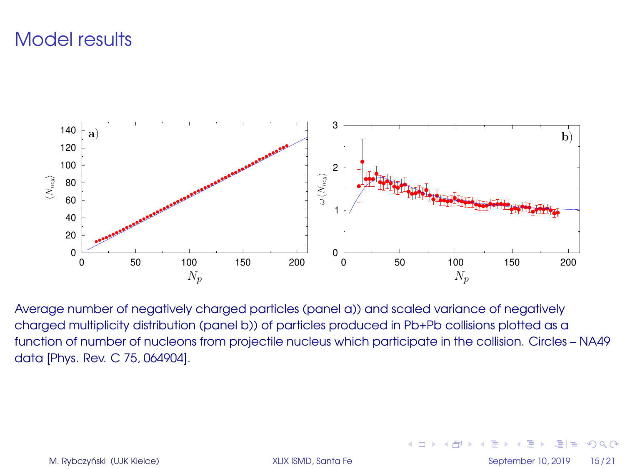

Average number of negatively charged particles (panel a)) and scaled variance of negatively charged multiplicity distribution (panel b)) of particles produced in Pb+Pb collisions plotted as a function of number of nucleons from projectile nucleus which participate in the collision. Circles – NA49 data [Phys. Rev. C 75, 064904].

M. Rybczyński (UJK Kielce) **od September 10, 2019** 15/21

 $=$  $\Omega$ 

4 ロ ▶ 4 伊

重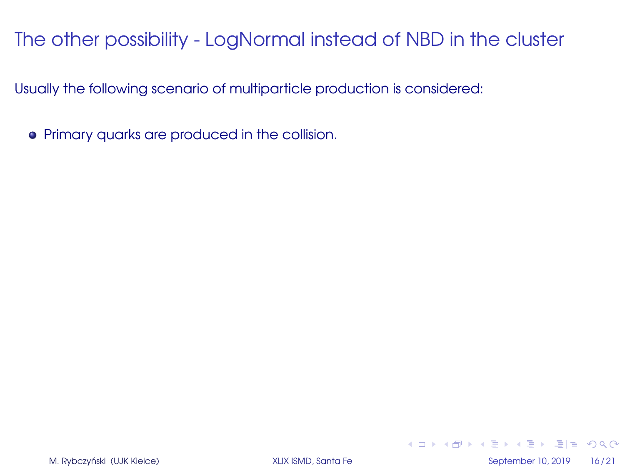Usually the following scenario of multiparticle production is considered:

Primary quarks are produced in the collision.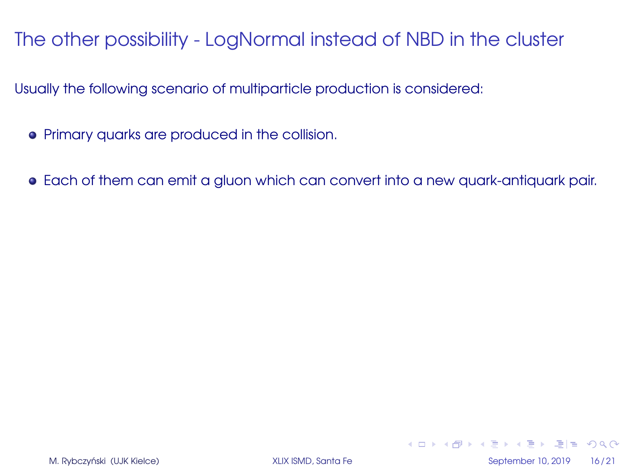Usually the following scenario of multiparticle production is considered:

- Primary quarks are produced in the collision.
- Each of them can emit a gluon which can convert into a new quark-antiquark pair.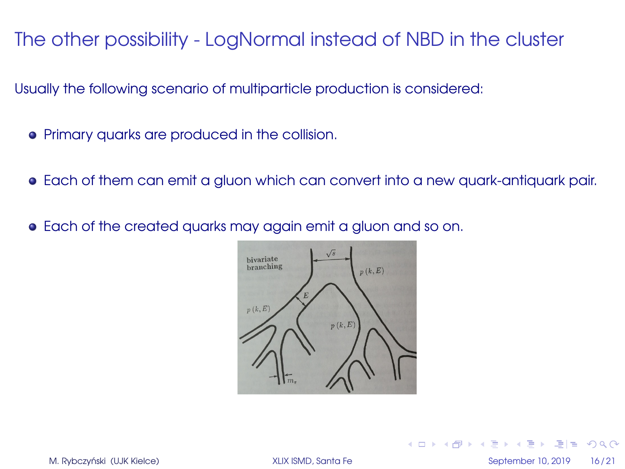Usually the following scenario of multiparticle production is considered:

- Primary quarks are produced in the collision.
- Each of them can emit a gluon which can convert into a new quark-antiquark pair.
- Each of the created quarks may again emit a gluon and so on.



M. Rybczyński (UJK Kielce) **od September 10, 2019** 16/21

 $E|E| \leq 0.00$ 

4 ロ ▶ 4 伊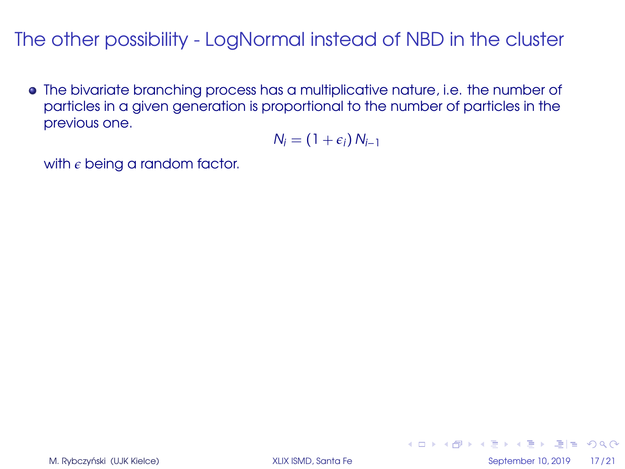The bivariate branching process has a multiplicative nature, i.e. the number of particles in a given generation is proportional to the number of particles in the previous one.

$$
N_i = (1+\epsilon_i) N_{i-1}
$$

with  $\epsilon$  being a random factor.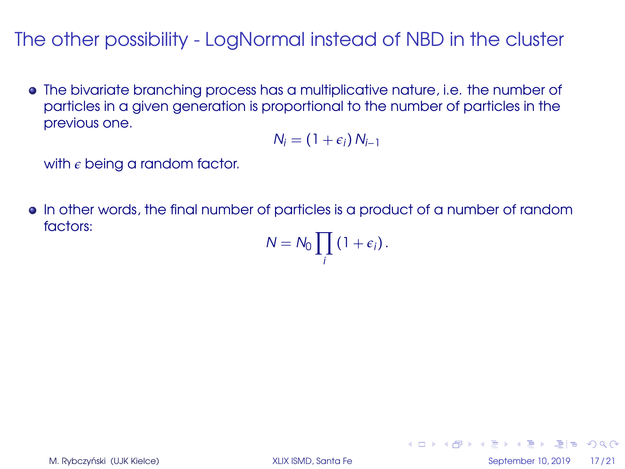The bivariate branching process has a multiplicative nature, i.e. the number of particles in a given generation is proportional to the number of particles in the previous one.

$$
N_i = (1+\epsilon_i) N_{i-1}
$$

with  $\epsilon$  being a random factor.

In other words, the final number of particles is a product of a number of random factors:

$$
N=N_0\prod_i\left(1+\epsilon_i\right).
$$

кшр к舟 ж к∃ ж к∃ х ∃|≝ ЮрО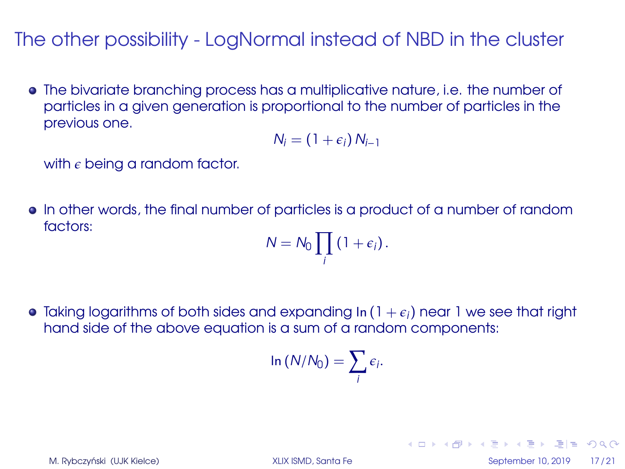The bivariate branching process has a multiplicative nature, i.e. the number of particles in a given generation is proportional to the number of particles in the previous one.

$$
N_i = (1+\epsilon_i) N_{i-1}
$$

with  $\epsilon$  being a random factor.

In other words, the final number of particles is a product of a number of random factors:

$$
N=N_0\prod_i\left(1+\epsilon_i\right).
$$

Taking logarithms of both sides and expanding In (  $1+\epsilon_i$  ) near  $1$  we see that right hand side of the above equation is a sum of a random components:

$$
\ln(N/N_0)=\sum_i \epsilon_i.
$$

M. Rybczyński (UJK Kielce) **od September 10, 2019** 17 / 21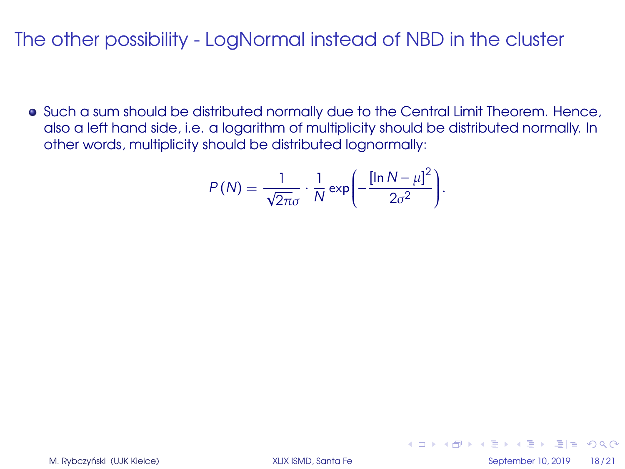**•** Such a sum should be distributed normally due to the Central Limit Theorem. Hence, also a left hand side, i.e. a logarithm of multiplicity should be distributed normally. In other words, multiplicity should be distributed lognormally:

$$
P(N) = \frac{1}{\sqrt{2\pi}\sigma} \cdot \frac{1}{N} \exp\left(-\frac{[\ln N - \mu]^2}{2\sigma^2}\right).
$$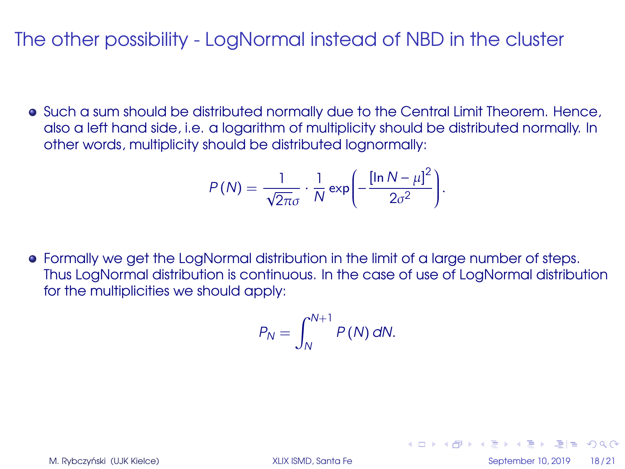Such a sum should be distributed normally due to the Central Limit Theorem. Hence, also a left hand side, i.e. a logarithm of multiplicity should be distributed normally. In other words, multiplicity should be distributed lognormally:

$$
P(N) = \frac{1}{\sqrt{2\pi}\sigma} \cdot \frac{1}{N} \exp\left(-\frac{[\ln N - \mu]^2}{2\sigma^2}\right).
$$

Formally we get the LogNormal distribution in the limit of a large number of steps. Thus LogNormal distribution is continuous. In the case of use of LogNormal distribution for the multiplicities we should apply:

$$
P_N = \int_N^{N+1} P(N) \, dN.
$$

K ロ ▶ K 何 ▶ K ヨ ▶ K ヨ ▶ ヨ ヨ ★ の Q (N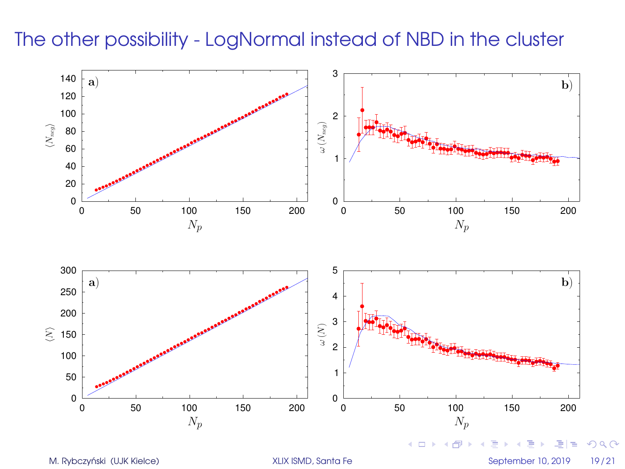

M. Rybczyński (UJK Kielce) **imierany stratego w September 10, 2019** 19/21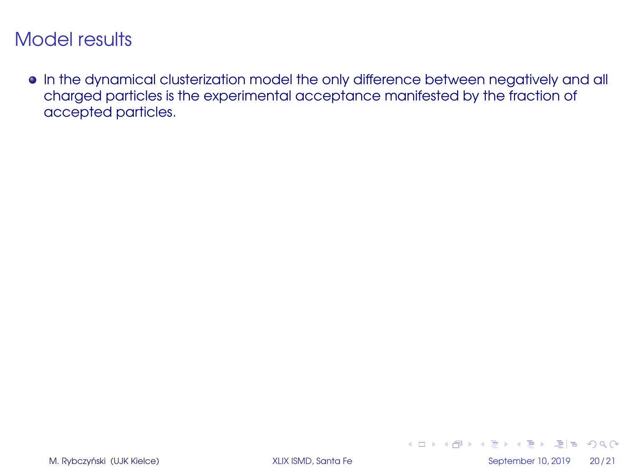In the dynamical clusterization model the only difference between negatively and all charged particles is the experimental acceptance manifested by the fraction of accepted particles.

K ロ ▶ K 何 ▶ K ヨ ▶ K ヨ ▶ \_ヨ 日 | 9 Q (N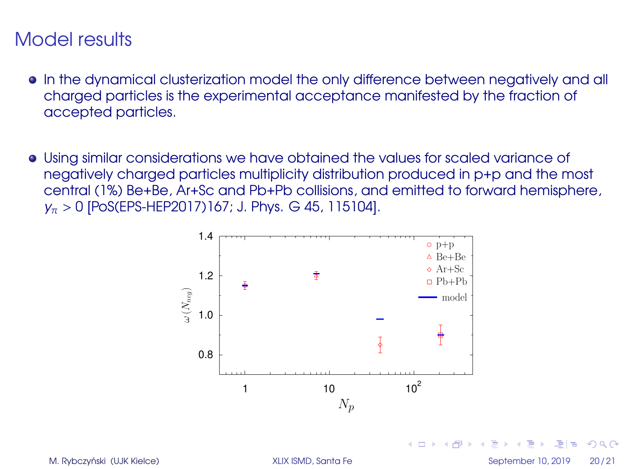- In the dynamical clusterization model the only difference between negatively and all charged particles is the experimental acceptance manifested by the fraction of accepted particles.
- Using similar considerations we have obtained the values for scaled variance of negatively charged particles multiplicity distribution produced in p+p and the most central (1%) Be+Be, Ar+Sc and Pb+Pb collisions, and emitted to forward hemisphere,  $y_{\pi} > 0$  [PoS(EPS-HEP2017)167; J. Phys. G 45, 115104].



M. Rybczyński (UJK Kielce) **od September 10, 2019** 20/21

 $1.7.1 \times 1.7.1$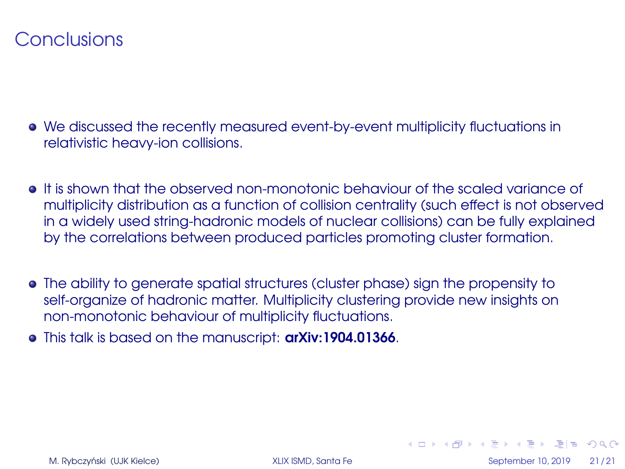#### <span id="page-37-0"></span>**Conclusions**

- We discussed the recently measured event-by-event multiplicity fluctuations in relativistic heavy-ion collisions.
- It is shown that the observed non-monotonic behaviour of the scaled variance of multiplicity distribution as a function of collision centrality (such effect is not observed in a widely used string-hadronic models of nuclear collisions) can be fully explained by the correlations between produced particles promoting cluster formation.
- The ability to generate spatial structures (cluster phase) sign the propensity to self-organize of hadronic matter. Multiplicity clustering provide new insights on non-monotonic behaviour of multiplicity fluctuations.
- **•** This talk is based on the manuscript: **arXiv:1904.01366**.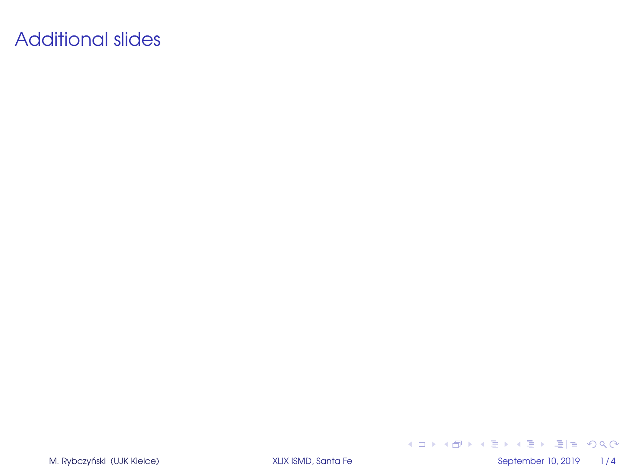# Additional slides

M. Rybczyński (UJK Kielce) **i September 10, 2019** 1/4

K ロ ▶ K 御 ▶ K 君 ▶ K 君 ▶ [君] ヨ 19 Q @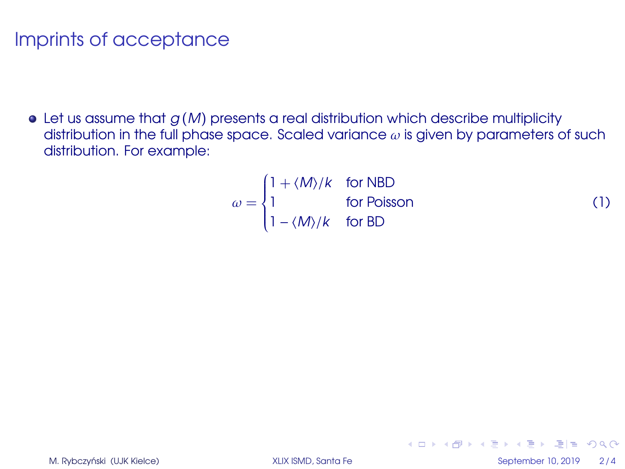$\bullet$  Let us assume that  $g(M)$  presents a real distribution which describe multiplicity distribution in the full phase space. Scaled variance  $\omega$  is given by parameters of such distribution. For example:

$$
\omega = \begin{cases}\n1 + \langle M \rangle / k & \text{for NBD} \\
1 & \text{for Poisson} \\
1 - \langle M \rangle / k & \text{for BD}\n\end{cases}
$$
\n(1)

K ロ ▶ K 何 ▶ K ヨ ▶ K ヨ ▶ \_ヨ 日 | 9 Q (N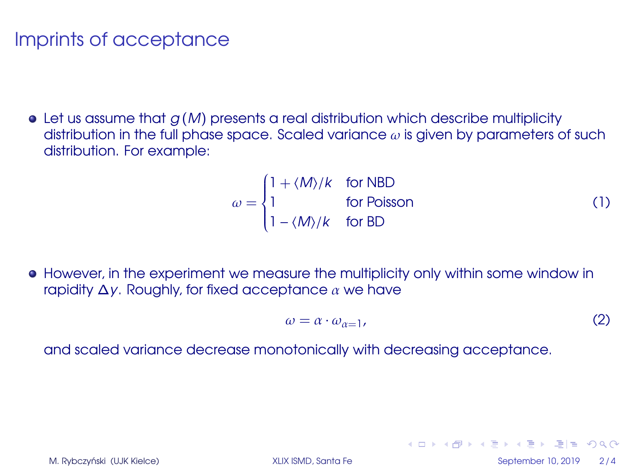$\bullet$  Let us assume that  $g(M)$  presents a real distribution which describe multiplicity distribution in the full phase space. Scaled variance  $\omega$  is given by parameters of such distribution. For example:

$$
\omega = \begin{cases}\n1 + \langle M \rangle / k & \text{for NBD} \\
1 & \text{for Poisson} \\
1 - \langle M \rangle / k & \text{for BD}\n\end{cases}
$$
\n(1)

**•** However, in the experiment we measure the multiplicity only within some window in rapidity  $\Delta y$ . Roughly, for fixed acceptance  $\alpha$  we have

$$
\omega = \alpha \cdot \omega_{\alpha=1},\tag{2}
$$

and scaled variance decrease monotonically with decreasing acceptance.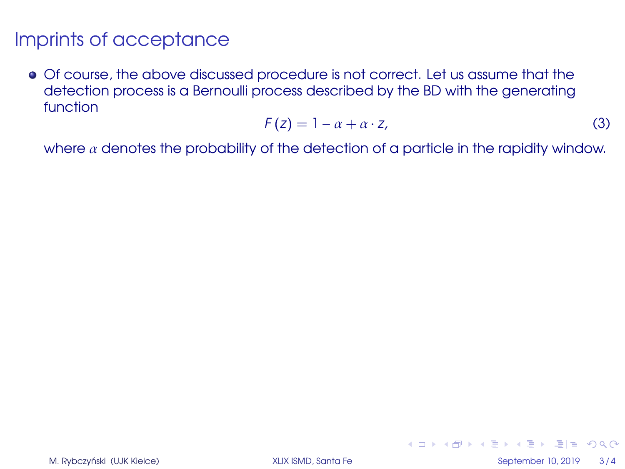Of course, the above discussed procedure is not correct. Let us assume that the detection process is a Bernoulli process described by the BD with the generating function

$$
F(z) = 1 - \alpha + \alpha \cdot z,\tag{3}
$$

where  $\alpha$  denotes the probability of the detection of a particle in the rapidity window.

K ロ ▶ K 何 ▶ K ヨ ▶ K ヨ ▶ \_ヨ 日 | 9 Q (N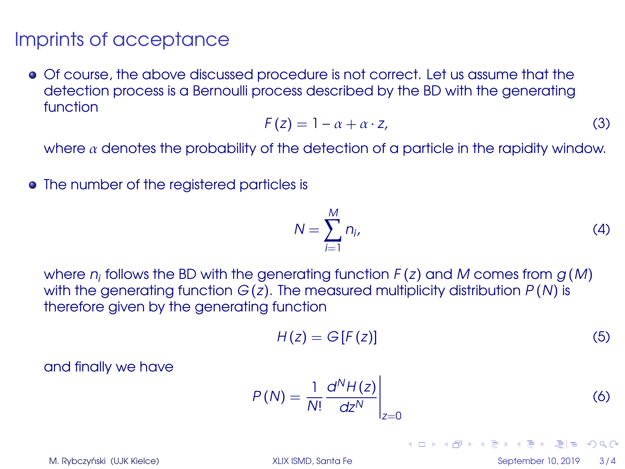Of course, the above discussed procedure is not correct. Let us assume that the detection process is a Bernoulli process described by the BD with the generating function

$$
F(z) = 1 - \alpha + \alpha \cdot z,\tag{3}
$$

where  $\alpha$  denotes the probability of the detection of a particle in the rapidity window.

• The number of the registered particles is

$$
N = \sum_{i=1}^{M} n_i,
$$
\n(4)

where  $n_i$  follows the BD with the generating function  $F(z)$  and  $M$  comes from  $g\left( M\right)$ with the generating function  $G(z)$ . The measured multiplicity distribution  $P(N)$  is therefore given by the generating function

$$
H(z) = G[F(z)] \tag{5}
$$

and finally we have

$$
P(N) = \frac{1}{N!} \frac{d^{N} H(z)}{dz^{N}} \bigg|_{z=0}
$$
 (6)

M. Rybczyński (UJK Kielce) **od September 10, 2019** 3/4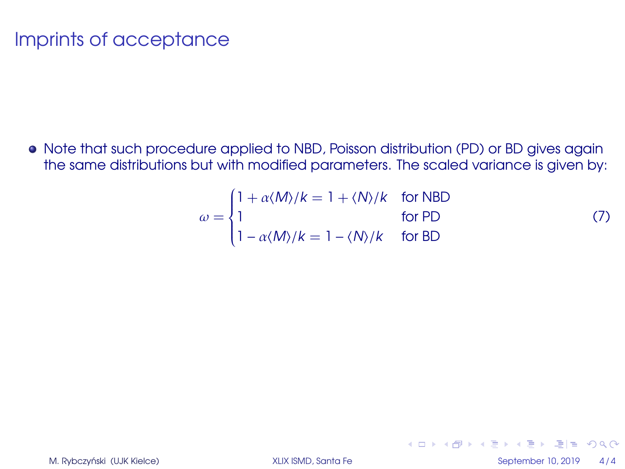• Note that such procedure applied to NBD, Poisson distribution (PD) or BD gives again the same distributions but with modified parameters. The scaled variance is given by:

<span id="page-43-0"></span>
$$
\omega = \begin{cases}\n1 + \alpha \langle M \rangle / k = 1 + \langle N \rangle / k & \text{for NBD} \\
1 & \text{for PD} \\
1 - \alpha \langle M \rangle / k = 1 - \langle N \rangle / k & \text{for BD}\n\end{cases}
$$
\n(7)